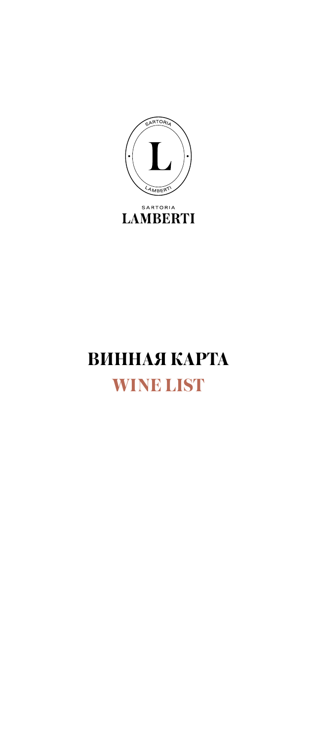

# ВИННАЯ КАРТА **WINE LIST**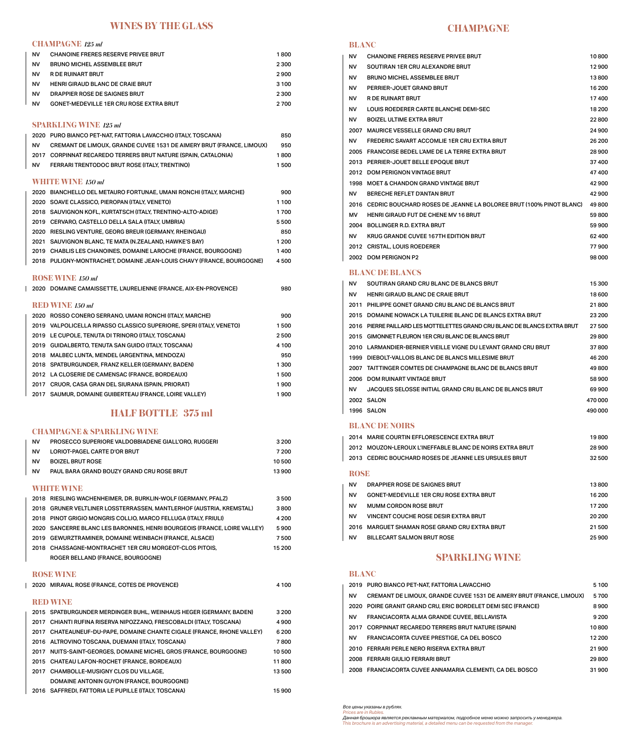#### **WINES BY THE GLASS**

#### **CHAMPAGNE** *125 ml*

| NV        | <b>CHANOINE FRERES RESERVE PRIVEE BRUT</b>     | 1800  |
|-----------|------------------------------------------------|-------|
| <b>NV</b> | <b>BRUNO MICHEL ASSEMBLEE BRUT</b>             | 2 300 |
| NV        | R DE RUINART BRUT                              | 2900  |
| <b>NV</b> | <b>HENRI GIRAUD BLANC DE CRAIE BRUT</b>        | 3 100 |
| NV        | DRAPPIER ROSE DE SAIGNES BRUT                  | 2 300 |
| NV        | <b>GONET-MEDEVILLE 1ER CRU ROSE EXTRA BRUT</b> | 2700  |

#### **SPARKLING WINE** *125 ml*

 $\overline{1}$ 

|           | 2020 PURO BIANCO PET-NAT, FATTORIA LAVACCHIO (ITALY, TOSCANA)               | 850     |
|-----------|-----------------------------------------------------------------------------|---------|
| <b>NV</b> | <b>CREMANT DE LIMOUX, GRANDE CUVEE 1531 DE AIMERY BRUT (FRANCE, LIMOUX)</b> | 950     |
|           | 2017 CORPINNAT RECAREDO TERRERS BRUT NATURE (SPAIN, CATALONIA)              | 1800    |
| <b>NV</b> | FERRARI TRENTODOC BRUT ROSE (ITALY, TRENTINO)                               | 1500    |
|           | <b>WHITE WINE</b> $150$ $ml$                                                |         |
|           | 2020 BIANCHELLO DEL METAURO FORTUNAE, UMANI RONCHI (ITALY, MARCHE)          | 900     |
|           | 2020 SOAVE CLASSICO, PIEROPAN (ITALY, VENETO)                               | 1 1 0 0 |
|           | 2018 SAUVIGNON KOFL, KURTATSCH (ITALY, TRENTINO-ALTO-ADIGE)                 | 1700    |
|           | 2019 CERVARO, CASTELLO DELLA SALA (ITALY, UMBRIA)                           | 5500    |
|           | 2020 RIESLING VENTURE, GEORG BREUR (GERMANY, RHEINGAU)                      | 850     |
|           | 2021 SAUVIGNON BLANC, TE MATA (N.ZEALAND, HAWKE'S BAY)                      | 1 2 0 0 |
|           | 2019 CHABLIS LES CHANOINES, DOMAINE LAROCHE (FRANCE, BOURGOGNE)             | 1400    |
|           | 2018 PULIGNY-MONTRACHET, DOMAINE JEAN-LOUIS CHAVY (FRANCE, BOURGOGNE)       | 4500    |
|           | <b>ROSE WINE 150 ml</b>                                                     |         |
|           | 2020 DOMAINE CAMAISSETTE, L'AURELIENNE (FRANCE, AIX-EN-PROVENCE)            | 980     |
|           | <b>RED WINE</b> 150 ml                                                      |         |
|           | 2020 ROSSO CONERO SERRANO, UMANI RONCHI (ITALY, MARCHE)                     | 900     |
|           | 2019 VALPOLICELLA RIPASSO CLASSICO SUPERIORE, SPERI (ITALY, VENETO)         | 1500    |
|           | 2019 LE CUPOLE, TENUTA DI TRINORO (ITALY, TOSCANA)                          | 2500    |
|           | 2019 GUIDALBERTO, TENUTA SAN GUIDO (ITALY, TOSCANA)                         | 4 100   |
|           | 2018 MALBEC LUNTA, MENDEL (ARGENTINA, MENDOZA)                              | 950     |
|           | 2018 SPATBURGUNDER, FRANZ KELLER (GERMANY, BADEN)                           | 1300    |
|           | 2012 LA CLOSERIE DE CAMENSAC (FRANCE, BORDEAUX)                             | 1500    |
|           | 2017 CRUOR, CASA GRAN DEL SIURANA (SPAIN, PRIORAT)                          | 1900    |
|           | 2017 SAUMUR, DOMAINE GUIBERTEAU (FRANCE, LOIRE VALLEY)                      | 1900    |

#### **HALF BOTTLE 375 ml**

#### **CHAMPAGNE & SPARKLING WINE**

| <b>NV</b>  | <b>PROSECCO SUPERIORE VALDOBBIADENE GIALL'ORO, RUGGERI</b>            | 3 200 |  |
|------------|-----------------------------------------------------------------------|-------|--|
| ΝV         | LORIOT-PAGEL CARTE D'OR BRUT                                          | 7 200 |  |
| <b>NV</b>  | <b>BOIZEL BRUT ROSE</b>                                               | 10500 |  |
| <b>NV</b>  | PAUL BARA GRAND BOUZY GRAND CRU ROSE BRUT                             | 13900 |  |
| WHITE WINE |                                                                       |       |  |
|            | 2018 RIESLING WACHENHEIMER, DR. BURKLIN-WOLF (GERMANY, PFALZ)         | 3500  |  |
| 2018       | <b>GRUNER VELTLINER LOSSTERRASSEN, MANTLERHOF (AUSTRIA, KREMSTAL)</b> | 3800  |  |
|            | 2018 PINOT GRIGIO MONGRIS COLLIO, MARCO FELLUGA (ITALY, FRIULI)       | 4 200 |  |

| 2020 SANCERRE BLANC LES BARONNES, HENRI BOURGEOIS (FRANCE, LOIRE VALLEY) | 5900   |
|--------------------------------------------------------------------------|--------|
| 2019 GEWURZTRAMINER, DOMAINE WEINBACH (FRANCE, ALSACE)                   | 7500   |
| 2018 CHASSAGNE-MONTRACHET 1ER CRU MORGEOT-CLOS PITOIS,                   | 15 200 |
| ROGER BELLAND (FRANCE, BOURGOGNE)                                        |        |
| ______________                                                           |        |

**ROSE WINE**

|      | 2020 MIRAVAL ROSE (FRANCE, COTES DE PROVENCE)                       | 4 100 |
|------|---------------------------------------------------------------------|-------|
|      |                                                                     |       |
|      | <b>RED WINE</b>                                                     |       |
|      | 2015 SPATBURGUNDER MERDINGER BUHL, WEINHAUS HEGER (GERMANY, BADEN)  | 3 200 |
|      | 2017 CHIANTI RUFINA RISERVA NIPOZZANO, FRESCOBALDI (ITALY, TOSCANA) | 4900  |
| 2017 | CHATEAUNEUF-DU-PAPE, DOMAINE CHANTE CIGALE (FRANCE, RHONE VALLEY)   | 6 200 |
|      | 2016 ALTROVINO TOSCANA, DUEMANI (ITALY, TOSCANA)                    | 7800  |
| 2017 | NUITS-SAINT-GEORGES, DOMAINE MICHEL GROS (FRANCE, BOURGOGNE)        | 10500 |
|      | 2015 CHATEAU LAFON-ROCHET (FRANCE, BORDEAUX)                        | 11800 |
| 2017 | <b>CHAMBOLLE-MUSIGNY CLOS DU VILLAGE.</b>                           | 13500 |
|      | DOMAINE ANTONIN GUYON (FRANCE, BOURGOGNE)                           |       |
|      | 2016 SAFFREDI, FATTORIA LE PUPILLE (ITALY, TOSCANA)                 | 15900 |

#### **CHAMPAGNE**

#### **BLANC**

| ΝV        | <b>CHANOINE FRERES RESERVE PRIVEE BRUT</b>                                | 10800   |
|-----------|---------------------------------------------------------------------------|---------|
| NV        | SOUTIRAN 1ER CRU ALEXANDRE BRUT                                           | 12900   |
| NV        | <b>BRUNO MICHEL ASSEMBLEE BRUT</b>                                        | 13800   |
| NV        | PERRIER-JOUET GRAND BRUT                                                  | 16 200  |
| NV.       | <b>R DE RUINART BRUT</b>                                                  | 17400   |
| NV        | LOUIS ROEDERER CARTE BLANCHE DEMI-SEC                                     | 18 200  |
| NV        | <b>BOIZEL ULTIME EXTRA BRUT</b>                                           | 22800   |
|           | 2007 MAURICE VESSELLE GRAND CRU BRUT                                      | 24 900  |
| NV        | <b>FREDERIC SAVART ACCOMLIE 1ER CRU EXTRA BRUT</b>                        | 26 200  |
|           | 2005 FRANCOISE BEDEL L'AME DE LA TERRE EXTRA BRUT                         | 28 900  |
|           | 2013 PERRIER-JOUET BELLE EPOQUE BRUT                                      | 37400   |
|           | 2012 DOM PERIGNON VINTAGE BRUT                                            | 47400   |
|           | 1998 MOET & CHANDON GRAND VINTAGE BRUT                                    | 42 900  |
| NV.       | BERECHE REFLET D'ANTAN BRUT                                               | 42900   |
|           | 2016   CEDRIC BOUCHARD ROSES DE JEANNE LA BOLOREE BRUT (100% PINOT BLANC) | 49800   |
| МV        | <b>HENRI GIRAUD FUT DE CHENE MV 16 BRUT</b>                               | 59800   |
|           | 2004 BOLLINGER R.D. EXTRA BRUT                                            | 59 900  |
| NV.       | KRUG GRANDE CUVEE 167TH EDITION BRUT                                      | 62400   |
|           | 2012 CRISTAL, LOUIS ROEDERER                                              | 77900   |
|           | 2002 DOM PERIGNON P2                                                      | 98 000  |
|           | <b>BLANC DE BLANCS</b>                                                    |         |
| <b>NV</b> | SOUTIRAN GRAND CRU BLANC DE BLANCS BRUT                                   | 15 300  |
| NV -      | <b>HENRI GIRAUD BLANC DE CRAIE BRUT</b>                                   | 18 600  |
|           | 2011 PHILIPPE GONET GRAND CRU BLANC DE BLANCS BRUT                        | 21800   |
|           | 2015 DOMAINE NOWACK LA TUILERIE BLANC DE BLANCS EXTRA BRUT                | 23 200  |
|           | 2016 PIERRE PAILLARD LES MOTTELETTES GRAND CRU BLANC DE BLANCS EXTRA BRUT | 27 500  |
|           | 2015 GIMONNET FLEURON 1ER CRU BLANC DE BLANCS BRUT                        | 29800   |
|           | 2010 LARMANDIER-BERNIER VIEILLE VIGNE DU LEVANT GRAND CRU BRUT            | 37800   |
|           | 1999 DIEBOLT-VALLOIS BLANC DE BLANCS MILLESIME BRUT                       | 46 200  |
|           | 2007 TAITTINGER COMTES DE CHAMPAGNE BLANC DE BLANCS BRUT                  | 49800   |
|           | 2006 DOM RUINART VINTAGE BRUT                                             | 58 900  |
| NV        | JACQUES SELOSSE INITIAL GRAND CRU BLANC DE BLANCS BRUT                    | 69 900  |
|           | 2002 SALON                                                                | 470 000 |
|           | 1996 SALON                                                                | 490 000 |

#### **BLANC DE NOIRS**

|           | 2014 MARIE COURTIN EFFLORESCENCE EXTRA BRUT              | 19800  |  |  |  |
|-----------|----------------------------------------------------------|--------|--|--|--|
|           | 2012 MOUZON-LEROUX L'INEFFABLE BLANC DE NOIRS EXTRA BRUT | 28900  |  |  |  |
|           | 2013 CEDRIC BOUCHARD ROSES DE JEANNE LES URSULES BRUT    | 32500  |  |  |  |
|           | <b>ROSE</b>                                              |        |  |  |  |
| <b>NV</b> | DRAPPIER ROSE DE SAIGNES BRUT                            | 13800  |  |  |  |
| <b>NV</b> | <b>GONET-MEDEVILLE 1ER CRU ROSE EXTRA BRUT</b>           | 16 200 |  |  |  |
| <b>NV</b> | MUMM CORDON ROSE BRUT                                    | 17 200 |  |  |  |
| <b>NV</b> | <b>VINCENT COUCHE ROSE DESIR EXTRA BRUT</b>              | 20 200 |  |  |  |
|           | 2016 MARGUET SHAMAN ROSE GRAND CRU EXTRA BRUT            | 21500  |  |  |  |
| NV.       | <b>BILLECART SALMON BRUT ROSE</b>                        | 25 900 |  |  |  |
|           |                                                          |        |  |  |  |

#### **SPARKLING WINE**

#### **BLANC**

|           | 2019 PURO BIANCO PET-NAT, FATTORIA LAVACCHIO                         | 5 100   |
|-----------|----------------------------------------------------------------------|---------|
| <b>NV</b> | CREMANT DE LIMOUX, GRANDE CUVEE 1531 DE AIMERY BRUT (FRANCE, LIMOUX) | 5700    |
|           | 2020 POIRE GRANIT GRAND CRU. ERIC BORDELET DEMI SEC (FRANCE)         | 8900    |
| <b>NV</b> | FRANCIACORTA ALMA GRANDE CUVEE, BELLAVISTA                           | 9 2 0 0 |
|           | 2017 CORPINNAT RECAREDO TERRERS BRUT NATURE (SPAIN)                  | 10800   |
| NV        | FRANCIACORTA CUVEE PRESTIGE, CA DEL BOSCO                            | 12 200  |
|           | 2010 FERRARI PERLE NERO RISERVA EXTRA BRUT                           | 21900   |
|           | 2008 FERRARI GIULIO FERRARI BRUT                                     | 29800   |
|           | 2008 FRANCIACORTA CUVEE ANNAMARIA CLEMENTI, CA DEL BOSCO             | 31900   |

*Все цены указаны в рублях. Prices are in Rubles.*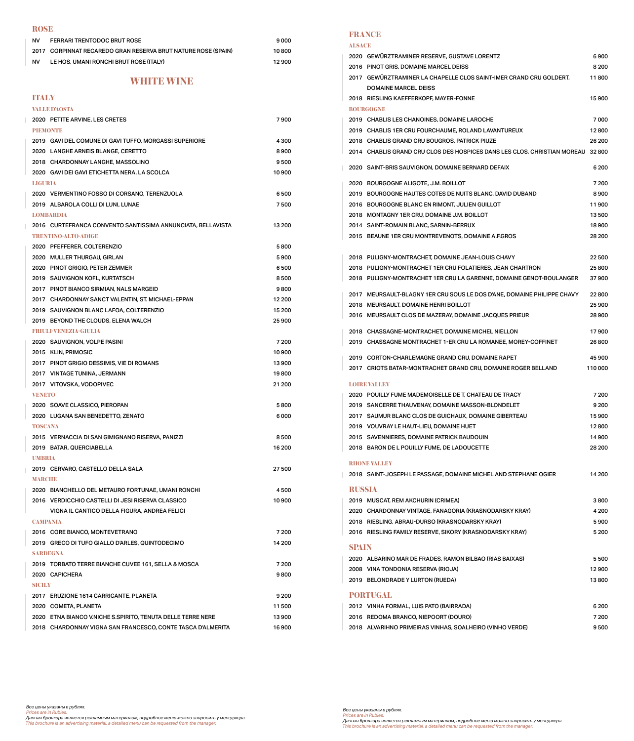#### **ROSE**

| <b>FERRARI TRENTODOC BRUT ROSE</b>                            | 9 000 |
|---------------------------------------------------------------|-------|
| 2017 CORPINNAT RECAREDO GRAN RESERVA BRUT NATURE ROSE (SPAIN) | 10800 |
| LE HOS, UMANI RONCHI BRUT ROSE (ITALY)                        | 12900 |
|                                                               |       |

#### **WHITE WINE**

#### **ITALY**

 $\mathsf I$ 

|                 | VALLE D'AOSTA                                               |         |  |  |
|-----------------|-------------------------------------------------------------|---------|--|--|
|                 | 2020 PETITE ARVINE, LES CRETES                              | 7900    |  |  |
| <b>PIEMONTE</b> |                                                             |         |  |  |
|                 | 2019 GAVI DEL COMUNE DI GAVI TUFFO, MORGASSI SUPERIORE      | 4 3 0 0 |  |  |
|                 | 2020 LANGHE ARNEIS BLANGE, CERETTO                          | 8900    |  |  |
|                 | 2018 CHARDONNAY LANGHE, MASSOLINO                           | 9500    |  |  |
|                 | 2020 GAVI DEI GAVI ETICHETTA NERA, LA SCOLCA                | 10900   |  |  |
| <b>LIGURIA</b>  |                                                             |         |  |  |
|                 | 2020 VERMENTINO FOSSO DI CORSANO, TERENZUOLA                | 6500    |  |  |
|                 | 2019 ALBAROLA COLLI DI LUNI, LUNAE                          | 7500    |  |  |
|                 | <b>LOMBARDIA</b>                                            |         |  |  |
|                 | 2016 CURTEFRANCA CONVENTO SANTISSIMA ANNUNCIATA, BELLAVISTA | 13 200  |  |  |
|                 | TRENTINO-ALTO-ADIGE                                         |         |  |  |
|                 | 2020 PFEFFERER, COLTERENZIO                                 | 5800    |  |  |
|                 | 2020 MULLER THURGAU, GIRLAN                                 | 5900    |  |  |
|                 | 2020 PINOT GRIGIO, PETER ZEMMER                             | 6500    |  |  |
|                 | 2019 SAUVIGNON KOFL, KURTATSCH                              | 8500    |  |  |
|                 | 2017 PINOT BIANCO SIRMIAN, NALS MARGEID                     | 9800    |  |  |
|                 | 2017 CHARDONNAY SANCT VALENTIN, ST. MICHAEL-EPPAN           | 12 200  |  |  |
|                 | 2019 SAUVIGNON BLANC LAFOA, COLTERENZIO                     | 15 200  |  |  |
|                 | 2019 BEYOND THE CLOUDS, ELENA WALCH                         | 25 900  |  |  |
|                 | <b>BRIULEVENEZIAE CIULA</b>                                 |         |  |  |
|                 | 2020 SAUVIGNON, VOLPE PASINI                                | 7 200   |  |  |
|                 | 2015 KLIN, PRIMOSIC                                         | 10 900  |  |  |
|                 | 2017 PINOT GRIGIO DESSIMIS, VIE DI ROMANS                   | 13900   |  |  |
|                 | 2017 VINTAGE TUNINA, JERMANN                                | 19800   |  |  |
|                 | 2017 VITOVSKA, VODOPIVEC                                    | 21 200  |  |  |
|                 | <b>VENETO</b>                                               |         |  |  |
|                 | 2020 SOAVE CLASSICO, PIEROPAN                               | 5800    |  |  |
|                 | 2020 LUGANA SAN BENEDETTO, ZENATO                           | 6000    |  |  |
| <b>TOSCANA</b>  |                                                             |         |  |  |
|                 | 2015 VERNACCIA DI SAN GIMIGNANO RISERVA, PANIZZI            | 8500    |  |  |
|                 | 2019 BATAR, QUERCIABELLA                                    | 16 200  |  |  |
| <b>UMBRIA</b>   |                                                             |         |  |  |
|                 | 2019 CERVARO, CASTELLO DELLA SALA                           | 27 500  |  |  |
| <b>MARCHE</b>   |                                                             |         |  |  |
|                 | 2020 BIANCHELLO DEL METAURO FORTUNAE, UMANI RONCHI          | 4500    |  |  |
|                 | 2016 VERDICCHIO CASTELLI DI JESI RISERVA CLASSICO           | 10900   |  |  |
|                 | VIGNA IL CANTICO DELLA FIGURA, ANDREA FELICI                |         |  |  |
| <b>CAMPANIA</b> |                                                             |         |  |  |
|                 | 2016 CORE BIANCO, MONTEVETRANO                              | 7 200   |  |  |
|                 | 2019 GRECO DI TUFO GIALLO D'ARLES, QUINTODECIMO             | 14 200  |  |  |
| <b>SARDEGNA</b> |                                                             |         |  |  |
|                 | 2019 TORBATO TERRE BIANCHE CUVEE 161, SELLA & MOSCA         | 7 200   |  |  |
|                 | 2020 CAPICHERA                                              | 9800    |  |  |
| <b>SICILY</b>   |                                                             |         |  |  |
|                 | 2017 ERUZIONE 1614 CARRICANTE, PLANETA<br>9 2 0 0           |         |  |  |
|                 | 2020 COMETA, PLANETA                                        | 11500   |  |  |
|                 | 2020 ETNA BIANCO V.NICHE S.SPIRITO, TENUTA DELLE TERRE NERE | 13900   |  |  |
|                 | 2018 CHARDONNAY VIGNA SAN FRANCESCO, CONTE TASCA D'ALMERITA | 16900   |  |  |
|                 |                                                             |         |  |  |

#### **FRANCE**

|                 | <b>ALSACE</b> |                                                                                 |         |
|-----------------|---------------|---------------------------------------------------------------------------------|---------|
|                 |               | 2020 GEWURZTRAMINER RESERVE, GUSTAVE LORENTZ                                    | 6900    |
|                 |               | 2016 PINOT GRIS, DOMAINE MARCEL DEISS                                           | 8 2 0 0 |
|                 |               | 2017 GEWURZTRAMINER LA CHAPELLE CLOS SAINT-IMER CRAND CRU GOLDERT,              | 11800   |
|                 |               | <b>DOMAINE MARCEL DEISS</b>                                                     |         |
|                 |               | 2018 RIESLING KAEFFERKOPF, MAYER-FONNE                                          | 15 900  |
|                 |               | <b>BOURGOGNE</b>                                                                |         |
|                 |               | 2019 CHABLIS LES CHANOINES, DOMAINE LAROCHE                                     | 7000    |
|                 |               | 2019 CHABLIS 1ER CRU FOURCHAUME, ROLAND LAVANTUREUX                             | 12800   |
|                 |               | 2018 CHABLIS GRAND CRU BOUGROS, PATRICK PIUZE                                   | 26 200  |
|                 |               | 2014 CHABLIS GRAND CRU CLOS DES HOSPICES DANS LES CLOS, CHRISTIAN MOREAU 32 800 |         |
|                 |               |                                                                                 | 6 200   |
|                 |               | 2020 SAINT-BRIS SAUVIGNON, DOMAINE BERNARD DEFAIX                               |         |
|                 |               | 2020 BOURGOGNE ALIGOTE, J.M. BOILLOT                                            | 7 200   |
|                 |               | 2019 BOURGOGNE HAUTES COTES DE NUITS BLANC, DAVID DUBAND                        | 8900    |
|                 |               | 2016 BOURGOGNE BLANC EN RIMONT, JULIEN GUILLOT                                  | 11900   |
|                 |               | 2018 MONTAGNY 1ER CRU, DOMAINE J.M. BOILLOT                                     | 13500   |
|                 |               | 2014 SAINT-ROMAIN BLANC, SARNIN-BERRUX                                          | 18900   |
|                 |               | 2015 BEAUNE 1ER CRU MONTREVENOTS, DOMAINE A.F.GROS                              | 28 200  |
|                 |               |                                                                                 |         |
|                 |               | 2018 PULIGNY-MONTRACHET, DOMAINE JEAN-LOUIS CHAVY                               | 22 500  |
|                 |               | 2018 PULIGNY-MONTRACHET 1ER CRU FOLATIERES, JEAN CHARTRON                       | 25 800  |
|                 |               | 2018 PULIGNY-MONTRACHET 1ER CRU LA GARENNE, DOMAINE GENOT-BOULANGER             | 37900   |
|                 |               | 2017 MEURSAULT-BLAGNY 1ER CRU SOUS LE DOS D'ANE, DOMAINE PHILIPPE CHAVY         | 22800   |
|                 |               | 2018 MEURSAULT, DOMAINE HENRI BOILLOT                                           | 25 900  |
|                 |               | 2016 MEURSAULT CLOS DE MAZERAY, DOMAINE JACQUES PRIEUR                          | 28 900  |
|                 |               |                                                                                 |         |
|                 |               | 2018 CHASSAGNE-MONTRACHET, DOMAINE MICHEL NIELLON                               | 17900   |
|                 |               | 2019 CHASSAGNE MONTRACHET 1-ER CRU LA ROMANEE, MOREY-COFFINET                   | 26 800  |
|                 |               | 2019 CORTON-CHARLEMAGNE GRAND CRU, DOMAINE RAPET                                | 45 900  |
|                 |               | 2017 CRIOTS BATAR-MONTRACHET GRAND CRU, DOMAINE ROGER BELLAND                   | 110000  |
|                 |               |                                                                                 |         |
|                 |               | <b>LOIRE VALLEY</b><br>2020 POUILLY FUME MADEMOISELLE DE T, CHATEAU DE TRACY    | 7 200   |
|                 |               | 2019 SANCERRE THAUVENAY, DOMAINE MASSON-BLONDELET                               |         |
|                 |               |                                                                                 | 9 200   |
|                 |               | 2017 SAUMUR BLANC CLOS DE GUICHAUX, DOMAINE GIBERTEAU                           | 15900   |
|                 |               | 2019 VOUVRAY LE HAUT-LIEU, DOMAINE HUET                                         | 12800   |
|                 |               | 2015 SAVENNIERES, DOMAINE PATRICK BAUDOUIN                                      | 14 900  |
|                 |               | 2018 BARON DE L POUILLY FUME, DE LADOUCETTE                                     | 28 200  |
|                 |               | <b>RHONE VALLEY</b>                                                             |         |
|                 |               | 2018 SAINT-JOSEPH LE PASSAGE, DOMAINE MICHEL AND STEPHANE OGIER                 | 14 200  |
|                 | <b>RUSSIA</b> |                                                                                 |         |
|                 |               | 2019 MUSCAT, REM AKCHURIN (CRIMEA)                                              | 3800    |
|                 |               | 2020 CHARDONNAY VINTAGE, FANAGORIA (KRASNODARSKY KRAY)                          | 4 200   |
|                 |               | 2018 RIESLING, ABRAU-DURSO (KRASNODARSKY KRAY)                                  | 5 900   |
|                 |               |                                                                                 | 5 200   |
|                 |               | 2016 RIESLING FAMILY RESERVE, SIKORY (KRASNODARSKY KRAY)                        |         |
|                 | <b>SPAIN</b>  |                                                                                 |         |
|                 |               | 2020 ALBARINO MAR DE FRADES, RAMON BILBAO (RIAS BAIXAS)                         | 5 500   |
|                 |               | 2008 VINA TONDONIA RESERVA (RIOJA)                                              | 12900   |
|                 |               | 2019 BELONDRADE Y LURTON (RUEDA)                                                | 13800   |
| <b>PORTUGAL</b> |               |                                                                                 |         |
|                 |               | 2012 VINHA FORMAL, LUIS PATO (BAIRRADA)                                         | 6 200   |
|                 |               | 2016 REDOMA BRANCO, NIEPOORT (DOURO)                                            | 7 200   |
|                 |               | 2018 ALVARIHNO PRIMEIRAS VINHAS, SOALHEIRO (VINHO VERDE)                        | 9500    |

Все цены указаны в рублях.<br>Prices are in Rubles.<br>Данная брошюра является рекламным материалом, подробное меню можно запросить у менеджера.<br>This brochure is an advertising material, a detailed menu can be requested from th

Все цены указаны в рублях.<br>Prices are in Rubles.<br>Данная брошюра является рекламным материалом, подробное меню можно запросить у менеджера.<br>This brochure is an advertising material, a detailed menu can be requested from th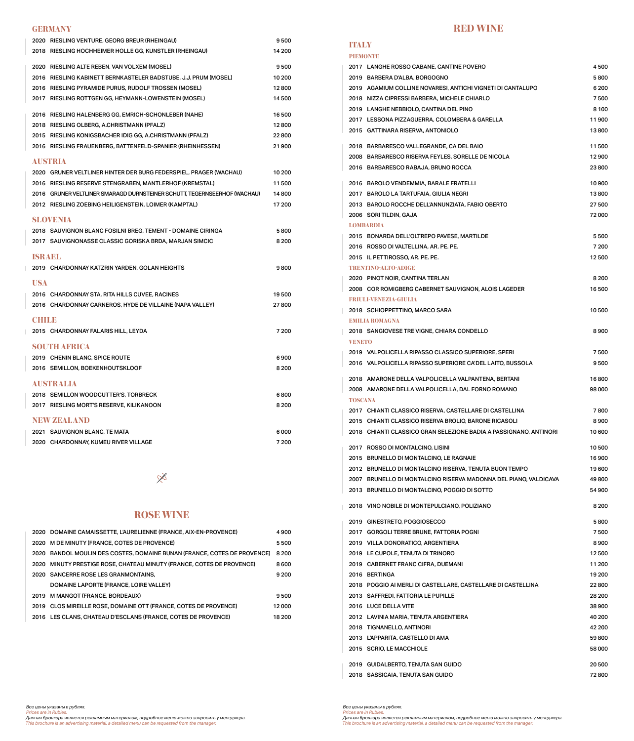#### **GERMANY**

| 2020 RIESLING VENTURE, GEORG BREUR (RHEINGAU)                            | 9500    |
|--------------------------------------------------------------------------|---------|
| 2018 RIESLING HOCHHEIMER HOLLE GG, KUNSTLER (RHEINGAU)                   | 14 200  |
| 2020 RIESLING ALTE REBEN, VAN VOLXEM (MOSEL)                             | 9500    |
| 2016 RIESLING KABINETT BERNKASTELER BADSTUBE, J.J. PRUM (MOSEL)          | 10 200  |
| 2016 RIESLING PYRAMIDE PURUS, RUDOLF TROSSEN (MOSEL)                     | 12800   |
| 2017 RIESLING ROTTGEN GG, HEYMANN-LOWENSTEIN (MOSEL)                     | 14 500  |
|                                                                          |         |
| 2016 RIESLING HALENBERG GG, EMRICH-SCHONLEBER (NAHE)                     | 16 500  |
| 2018 RIESLING OLBERG, A.CHRISTMANN (PFALZ)                               | 12800   |
| 2015 RIESLING KONIGSBACHER IDIG GG, A.CHRISTMANN (PFALZ)                 | 22800   |
| 2016 RIESLING FRAUENBERG, BATTENFELD-SPANIER (RHEINHESSEN)               | 21900   |
| <b>AUSTRIA</b>                                                           |         |
| 2020 GRUNER VELTLINER HINTER DER BURG FEDERSPIEL, PRAGER (WACHAU)        | 10 200  |
| 2016 RIESLING RESERVE STENGRABEN, MANTLERHOF (KREMSTAL)                  | 11500   |
| 2016 GRUNER VELTLINER SMARAGD DURNSTEINER SCHUTT. TEGERNSEERHOF (WACHAU) | 14800   |
| 2012 RIESLING ZOEBING HEILIGENSTEIN, LOIMER (KAMPTAL)                    | 17 200  |
|                                                                          |         |
| <b>SLOVENIA</b>                                                          |         |
| 2018 SAUVIGNON BLANC FOSILNI BREG, TEMENT - DOMAINE CIRINGA              | 5800    |
| 2017   SAUVIGNONASSE CLASSIC GORISKA BRDA, MARJAN SIMCIC                 | 8 2 0 0 |
| ISRAEL                                                                   |         |
| 2019 CHARDONNAY KATZRIN YARDEN, GOLAN HEIGHTS                            | 9800    |
|                                                                          |         |
| <b>USA</b>                                                               |         |
| 2016 CHARDONNAY STA. RITA HILLS CUVEE, RACINES                           | 19500   |
| 2016 CHARDONNAY CARNEROS, HYDE DE VILLAINE (NAPA VALLEY)                 | 27800   |
| CHILB                                                                    |         |
| 2015 CHARDONNAY FALARIS HILL, LEYDA                                      | 7 200   |
|                                                                          |         |
| <b>SOUTH AFRICA</b>                                                      |         |
| 2019 CHENIN BLANC, SPICE ROUTE                                           | 6900    |
| 2016 SEMILLON, BOEKENHOUTSKLOOF                                          | 8 2 0 0 |
| <b>AUSTRALIA</b>                                                         |         |
| 2018 SEMILLON WOODCUTTER'S, TORBRECK                                     | 6800    |
| 2017 RIESLING MORT'S RESERVE, KILIKANOON                                 | 8 2 0 0 |
| <b>NEW ZEALAND</b>                                                       |         |
| 2021 SAUVIGNON BLANC, TE MATA                                            | 6000    |
| 2020 CHARDONNAY, KUMEU RIVER VILLAGE                                     | 7 200   |
|                                                                          |         |

### $X^2$

#### **ROSE WINE**

|      | 2020 DOMAINE CAMAISSETTE, L'AURELIENNE (FRANCE, AIX-EN-PROVENCE)      | 4900    |
|------|-----------------------------------------------------------------------|---------|
|      | 2020 M DE MINUTY (FRANCE, COTES DE PROVENCE)                          | 5500    |
| 2020 | BANDOL MOULIN DES COSTES, DOMAINE BUNAN (FRANCE, COTES DE PROVENCE)   | 8 2 0 0 |
|      | 2020 MINUTY PRESTIGE ROSE, CHATEAU MINUTY (FRANCE, COTES DE PROVENCE) | 8600    |
|      | 2020 SANCERRE ROSE LES GRANMONTAINS.                                  | 9 200   |
|      | DOMAINE LAPORTE (FRANCE, LOIRE VALLEY)                                |         |
|      | 2019 M MANGOT (FRANCE, BORDEAUX)                                      | 9500    |
| 2019 | CLOS MIREILLE ROSE, DOMAINE OTT (FRANCE, COTES DE PROVENCE)           | 12000   |
|      | 2016 LES CLANS, CHATEAU D'ESCLANS (FRANCE, COTES DE PROVENCE)         | 18 200  |

#### **RED WINE**

## **ITALY**

|                | <b>PIEMONTE</b>                                                   |         |
|----------------|-------------------------------------------------------------------|---------|
|                | 2017 LANGHE ROSSO CABANE, CANTINE POVERO                          | 4500    |
|                | 2019 BARBERA D'ALBA, BORGOGNO                                     | 5800    |
|                | 2019 AGAMIUM COLLINE NOVARESI, ANTICHI VIGNETI DI CANTALUPO       | 6 200   |
|                | 2018 NIZZA CIPRESSI BARBERA, MICHELE CHIARLO                      | 7500    |
|                | 2019 LANGHE NEBBIOLO, CANTINA DEL PINO                            | 8 100   |
|                | 2017 LESSONA PIZZAGUERRA, COLOMBERA & GARELLA                     | 11900   |
|                | 2015 GATTINARA RISERVA, ANTONIOLO                                 | 13800   |
|                |                                                                   |         |
|                | 2018 BARBARESCO VALLEGRANDE, CA DEL BAIO                          | 11500   |
|                | 2008 BARBARESCO RISERVA FEYLES, SORELLE DE NICOLA                 | 12900   |
|                | 2016 BARBARESCO RABAJA, BRUNO ROCCA                               | 23800   |
|                | 2016 BAROLO VENDEMMIA, BARALE FRATELLI                            | 10 900  |
|                | 2017 BAROLO LA TARTUFAIA, GIULIA NEGRI                            | 13800   |
|                | 2013 BAROLO ROCCHE DELL'ANNUNZIATA, FABIO OBERTO                  | 27 500  |
|                | 2006 SORI TILDIN, GAJA                                            | 72000   |
|                | <b>LOMBARDIA</b>                                                  |         |
|                | 2015 BONARDA DELL'OLTREPO PAVESE, MARTILDE                        | 5500    |
|                | 2016 ROSSO DI VALTELLINA, AR. PE. PE.                             | 7 200   |
|                | 2015 IL PETTIROSSO, AR. PE. PE.                                   | 12500   |
|                | <b>TRENTINO-ALTO-ADIGE</b>                                        |         |
|                | 2020 PINOT NOIR, CANTINA TERLAN                                   | 8 2 0 0 |
|                | 2008 COR ROMIGBERG CABERNET SAUVIGNON, ALOIS LAGEDER              | 16 500  |
|                | <b>FRIULI-VENEZIA-GIULIA</b>                                      |         |
|                | 2018 SCHIOPPETTINO, MARCO SARA                                    | 10 500  |
|                | <b>EMILIA ROMAGNA</b>                                             |         |
|                | 2018 SANGIOVESE TRE VIGNE, CHIARA CONDELLO                        | 8900    |
| <b>VENETO</b>  |                                                                   |         |
|                | 2019 VALPOLICELLA RIPASSO CLASSICO SUPERIORE, SPERI               | 7500    |
|                | 2016 VALPOLICELLA RIPASSO SUPERIORE CA'DEL LAITO, BUSSOLA         | 9500    |
|                |                                                                   |         |
|                | 2018 AMARONE DELLA VALPOLICELLA VALPANTENA, BERTANI               | 16800   |
|                | 2008 AMARONE DELLA VALPOLICELLA, DAL FORNO ROMANO                 | 98 000  |
| <b>TOSCANA</b> |                                                                   |         |
|                | 2017 CHIANTI CLASSICO RISERVA, CASTELLARE DI CASTELLINA           | 7800    |
|                | 2015 CHIANTI CLASSICO RISERVA BROLIO, BARONE RICASOLI             | 8900    |
|                | 2018 CHIANTI CLASSICO GRAN SELEZIONE BADIA A PASSIGNANO, ANTINORI | 10 600  |
|                |                                                                   |         |
|                | 2017 ROSSO DI MONTALCINO, LISINI                                  | 10 500  |
|                | 2015 BRUNELLO DI MONTALCINO, LE RAGNAIE                           | 16900   |
|                | 2012 BRUNELLO DI MONTALCINO RISERVA, TENUTA BUON TEMPO            | 19 600  |
|                | 2007 BRUNELLO DI MONTALCINO RISERVA MADONNA DEL PIANO, VALDICAVA  | 49800   |
|                | 2013 BRUNELLO DI MONTALCINO, POGGIO DI SOTTO                      | 54 900  |
|                | 2018 VINO NOBILE DI MONTEPULCIANO, POLIZIANO                      | 8200    |
|                |                                                                   |         |
|                | 2019 GINESTRETO, POGGIOSECCO                                      | 5800    |
|                | 2017 GORGOLI TERRE BRUNE, FATTORIA POGNI                          | 7500    |
|                | 2019 VILLA DONORATICO, ARGENTIERA                                 | 8900    |
|                | 2019 LE CUPOLE, TENUTA DI TRINORO                                 | 12500   |
|                | 2019 CABERNET FRANC CIFRA, DUEMANI                                | 11 200  |
|                | 2016 BERTINGA                                                     | 19 200  |
|                | 2018 POGGIO AI MERLI DI CASTELLARE, CASTELLARE DI CASTELLINA      | 22800   |
|                | 2013 SAFFREDI, FATTORIA LE PUPILLE                                | 28 200  |
|                | 2016 LUCE DELLA VITE                                              | 38 900  |
|                | 2012 LAVINIA MARIA, TENUTA ARGENTIERA                             | 40 200  |
|                | 2018 TIGNANELLO, ANTINORI                                         | 42 200  |
|                | 2013 L'APPARITA, CASTELLO DI AMA                                  | 59800   |
|                | 2015 SCRIO, LE MACCHIOLE                                          | 58 000  |
|                | 2019 GUIDALBERTO, TENUTA SAN GUIDO                                | 20 500  |
|                | 2018 SASSICAIA, TENUTA SAN GUIDO                                  | 72800   |
|                |                                                                   |         |

Все цены указаны в рублях.<br>Prices are in Rubles.<br>Данная брошюра является рекламным материалом, подробное меню можно запросить у менеджера.<br>This brochure is an advertising material, a detailed menu can be requested from th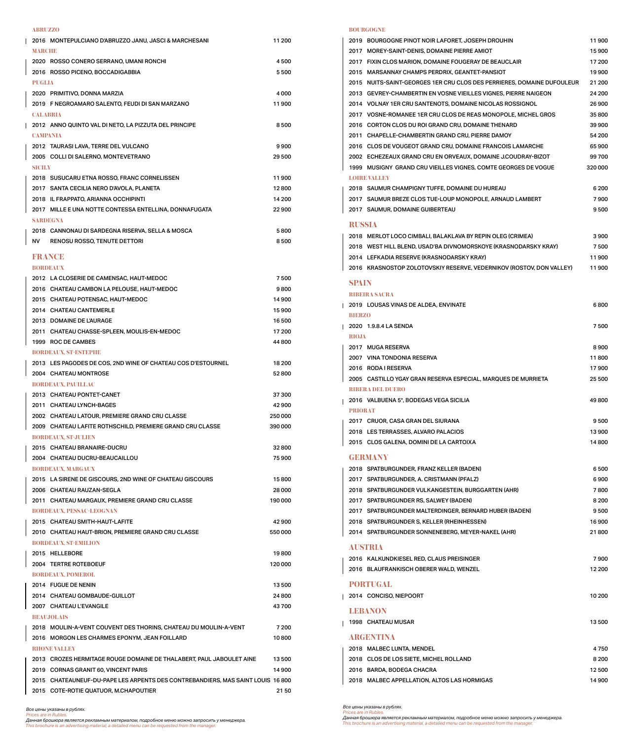#### **ABRUZZO**

| 2016 MONTEPULCIANO D'ABRUZZO JANU, JASCI & MARCHESANI                           | 11 200  |
|---------------------------------------------------------------------------------|---------|
| <b>MARCHE</b>                                                                   |         |
| 2020 ROSSO CONERO SERRANO, UMANI RONCHI                                         | 4500    |
| 2016 ROSSO PICENO, BOCCADIGABBIA                                                | 5500    |
| <b>PUGLIA</b>                                                                   |         |
| 2020 PRIMITIVO, DONNA MARZIA                                                    | 4 000   |
| 2019 F NEGROAMARO SALENTO, FEUDI DI SAN MARZANO                                 | 11900   |
| <b>CALABRIA</b>                                                                 |         |
| 2012 ANNO QUINTO VAL DI NETO, LA PIZZUTA DEL PRINCIPE                           | 8500    |
| <b>CAMPANIA</b>                                                                 |         |
| 2012 TAURASI LAVA, TERRE DEL VULCANO                                            | 9900    |
| 2005 COLLI DI SALERNO, MONTEVETRANO                                             | 29 500  |
| <b>SICILY</b>                                                                   |         |
| 2018 SUSUCARU ETNA ROSSO, FRANC CORNELISSEN                                     | 11900   |
| 2017 SANTA CECILIA NERO D'AVOLA, PLANETA                                        | 12800   |
| 2018 IL FRAPPATO, ARIANNA OCCHIPINTI                                            | 14 200  |
| 2017 MILLE E UNA NOTTE CONTESSA ENTELLINA, DONNAFUGATA                          | 22 900  |
| <b>SARDEGNA</b>                                                                 |         |
| 2018 CANNONAU DI SARDEGNA RISERVA, SELLA & MOSCA                                | 5800    |
| NV 1<br><b>RENOSU ROSSO, TENUTE DETTORI</b>                                     | 8500    |
| FRANCE                                                                          |         |
| <b>BORDEAUX</b>                                                                 |         |
| 2012 LA CLOSERIE DE CAMENSAC, HAUT-MEDOC                                        | 7500    |
| 2016 CHATEAU CAMBON LA PELOUSE, HAUT-MEDOC                                      | 9800    |
| 2015 CHATEAU POTENSAC, HAUT-MEDOC                                               | 14 900  |
| 2014 CHATEAU CANTEMERLE                                                         | 15 900  |
| 2013 DOMAINE DE L'AURAGE                                                        | 16 500  |
| 2011 CHATEAU CHASSE-SPLEEN, MOULIS-EN-MEDOC                                     | 17 200  |
| 1999 ROC DE CAMBES                                                              | 44 800  |
| <b>BORDEAUX, ST-ESTEPHE</b>                                                     |         |
| 2013 LES PAGODES DE COS, 2ND WINE OF CHATEAU COS D'ESTOURNEL                    | 18 200  |
| 2004 CHATEAU MONTROSE                                                           | 52800   |
| <b>BORDEAUX, PAUILLAC</b>                                                       |         |
| 2013 CHATEAU PONTET-CANET                                                       | 37 300  |
| 2011 CHATEAU LYNCH-BAGES                                                        | 42900   |
| 2002 CHATEAU LATOUR, PREMIERE GRAND CRU CLASSE                                  | 250 000 |
| 2009 CHATEAU LAFITE ROTHSCHILD, PREMIERE GRAND CRU CLASSE                       | 390 000 |
| <b>BORDEAUX. ST-JULIEN</b>                                                      |         |
| 2015 CHATEAU BRANAIRE-DUCRU                                                     | 32800   |
| 2004 CHATEAU DUCRU-BEAUCAILLOU                                                  | 75 900  |
| <b>BORDEAUX. MARGAUX</b>                                                        |         |
| 2015 LA SIRENE DE GISCOURS, 2ND WINE OF CHATEAU GISCOURS                        | 15800   |
| 2006 CHATEAU RAUZAN-SEGLA                                                       | 28 000  |
| 2011 CHATEAU MARGAUX, PREMIERE GRAND CRU CLASSE                                 | 190 000 |
| <b>BORDEAUX, PESSAC-LEOGNAN</b>                                                 |         |
| 2015 CHATEAU SMITH-HAUT-LAFITE                                                  | 42 900  |
| 2010 CHATEAU HAUT-BRION, PREMIERE GRAND CRU CLASSE                              | 550000  |
| <b>BORDEAUX, ST-EMILION</b>                                                     |         |
| 2015 HELLEBORE                                                                  | 19800   |
| 2004 TERTRE ROTEBOEUF                                                           | 120 000 |
| <b>BORDEAUX, POMEROL</b>                                                        |         |
| 2014 FUGUE DE NENIN                                                             | 13500   |
| 2014 CHATEAU GOMBAUDE-GUILLOT                                                   | 24 800  |
| 2007 CHATEAU L'EVANGILE                                                         | 43700   |
| <b>BEAUJOLAIS</b>                                                               |         |
| 2018 MOULIN-A-VENT COUVENT DES THORINS, CHATEAU DU MOULIN-A-VENT                | 7 200   |
| 2016 MORGON LES CHARMES EPONYM. JEAN FOILLARD                                   | 10800   |
| <b>RHONEMATHEM</b>                                                              |         |
| 2013 CROZES HERMITAGE ROUGE DOMAINE DE THALABERT. PAUL JABOULET AINE            | 13500   |
| 2019 CORNAS GRANIT 60. VINCENT PARIS                                            | 14 900  |
| 2015 CHATEAUNEUF-DU-PAPE LES ARPENTS DES CONTREBANDIERS, MAS SAINT LOUIS 16 800 |         |
| 2015 COTE-ROTIE QUATUOR, M.CHAPOUTIER                                           | 2150    |
|                                                                                 |         |

Все цены указаны в рублях.<br>Prices are in Rubles.<br>Данная брошюра является рекламным материалом, подробное меню можно запросить у менеджера.<br>This brochure is an advertising material, a detailed menu can be requested from th

#### **BOURGOGNE**

 $\mathbf{I}% _{0}\left( \mathbf{I}_{1}\right)$ 

 $\overline{\phantom{a}}$ 

 $\blacksquare$ 

 $\overline{\phantom{a}}$ 

 $\overline{\phantom{a}}$ 

|                      | 2019    BOURGOGNE PINOT NOIR LAFORET, JOSEPH DROUHIN                   | 11900   |
|----------------------|------------------------------------------------------------------------|---------|
|                      | 2017 MOREY-SAINT-DENIS, DOMAINE PIERRE AMIOT                           | 15 900  |
|                      | 2017 FIXIN CLOS MARION, DOMAINE FOUGERAY DE BEAUCLAIR                  | 17 200  |
|                      | 2015 MARSANNAY CHAMPS PERDRIX, GEANTET-PANSIOT                         | 19 900  |
|                      | 2015 NUITS-SAINT-GEORGES 1ER CRU CLOS DES PERRIERES, DOMAINE DUFOULEUR | 21 200  |
|                      | 2013 GEVREY-CHAMBERTIN EN VOSNE VIEILLES VIGNES, PIERRE NAIGEON        | 24 200  |
|                      | 2014 VOLNAY 1ER CRU SANTENOTS, DOMAINE NICOLAS ROSSIGNOL               | 26 900  |
|                      | 2017 VOSNE-ROMANEE 1ER CRU CLOS DE REAS MONOPOLE, MICHEL GROS          | 35800   |
|                      | 2016 CORTON CLOS DU ROI GRAND CRU, DOMAINE THENARD                     | 39 900  |
|                      | 2011 CHAPELLE-CHAMBERTIN GRAND CRU, PIERRE DAMOY                       | 54 200  |
|                      | 2016 CLOS DE VOUGEOT GRAND CRU, DOMAINE FRANCOIS LAMARCHE              | 65 900  |
|                      |                                                                        |         |
|                      | 2002 ECHEZEAUX GRAND CRU EN ORVEAUX, DOMAINE J.COUDRAY-BIZOT           | 99700   |
|                      | 1999 MUSIGNY GRAND CRU VIEILLES VIGNES, COMTE GEORGES DE VOGUE         | 320 000 |
| <b>LOIRE VALLEY</b>  |                                                                        |         |
|                      | 2018 SAUMUR CHAMPIGNY TUFFE, DOMAINE DU HUREAU                         | 6 200   |
|                      | 2017 SAUMUR BREZE CLOS TUE-LOUP MONOPOLE, ARNAUD LAMBERT               | 7900    |
|                      | 2017 SAUMUR, DOMAINE GUIBERTEAU                                        | 9500    |
| <b>RUSSIA</b>        |                                                                        |         |
|                      | 2018 MERLOT LOCO CIMBALI, BALAKLAVA BY REPIN OLEG (CRIMEA)             | 3900    |
|                      | 2018 WEST HILL BLEND, USAD'BA DIVNOMORSKOYE (KRASNODARSKY KRAY)        | 7500    |
|                      | 2014 LEFKADIA RESERVE (KRASNODARSKY KRAY)                              | 11900   |
|                      | 2016 KRASNOSTOP ZOLOTOVSKIY RESERVE, VEDERNIKOV (ROSTOV, DON VALLEY)   | 11900   |
|                      |                                                                        |         |
| <b>SPAIN</b>         |                                                                        |         |
| <b>RIBEIRA SACRA</b> |                                                                        |         |
|                      | 2019 LOUSAS VINAS DE ALDEA, ENVINATE                                   | 6800    |
| <b>BIERZO</b>        |                                                                        |         |
|                      | 2020 1.9.8.4 LA SENDA                                                  | 7500    |
| <b>RIOJA</b>         |                                                                        |         |
|                      | 2017 MUGA RESERVA                                                      | 8900    |
|                      | 2007 VINA TONDONIA RESERVA                                             | 11800   |
|                      | 2016 RODA I RESERVA                                                    | 17900   |
|                      | 2005 CASTILLO YGAY GRAN RESERVA ESPECIAL, MARQUES DE MURRIETA          | 25 500  |
|                      | <b>RIBERA DEL DUERO</b>                                                |         |
|                      | 2016 VALBUENA 5°, BODEGAS VEGA SICILIA                                 | 49800   |
| <b>PRIORAT</b>       |                                                                        |         |
|                      | 2017 CRUOR, CASA GRAN DEL SIURANA                                      | 9500    |
|                      | 2018 LES TERRASSES, ALVARO PALACIOS                                    | 13900   |
|                      |                                                                        | 14800   |
|                      | 2015 CLOS GALENA, DOMINI DE LA CARTOIXA                                |         |
| <b>GERMANY</b>       |                                                                        |         |
|                      | 2018 SPATBURGUNDER, FRANZ KELLER (BADEN)                               | 6500    |
|                      | 2017 SPATBURGUNDER, A. CRISTMANN (PFALZ)                               | 6900    |
|                      | 2018 SPATBURGUNDER VULKANGESTEIN, BURGGARTEN (AHR)                     | 7800    |
|                      | 2017 SPATBURGUNDER RS, SALWEY (BADEN)                                  | 8 2 0 0 |
|                      | 2017 SPATBURGUNDER MALTERDINGER, BERNARD HUBER (BADEN)                 | 9500    |
|                      | 2018 SPATBURGUNDER S, KELLER (RHEINHESSEN)                             | 16900   |
|                      | 2014 SPATBURGUNDER SONNENEBERG, MEYER-NAKEL (AHR)                      | 21800   |
|                      |                                                                        |         |
| <b>AUSTRIA</b>       |                                                                        |         |
|                      | 2016 KALKUNDKIESEL RED, CLAUS PREISINGER                               | 7900    |
|                      | 2016 BLAUFRANKISCH OBERER WALD, WENZEL                                 | 12 200  |
| <b>PORTUGAL</b>      |                                                                        |         |
|                      |                                                                        |         |
|                      | 2014 CONCISO, NIEPOORT                                                 | 10 200  |
| <b>LEBANON</b>       |                                                                        |         |
|                      | 1998 CHATEAU MUSAR                                                     | 13500   |
|                      |                                                                        |         |
| <b>ARGENTINA</b>     |                                                                        |         |
|                      | 2018 MALBEC LUNTA, MENDEL                                              | 4750    |
|                      | 2018 CLOS DE LOS SIETE, MICHEL ROLLAND                                 | 8 2 0 0 |
|                      | 2016 BARDA, BODEGA CHACRA                                              | 12500   |
|                      | 2018 MALBEC APPELLATION, ALTOS LAS HORMIGAS                            | 14 900  |

Все цены указаны в рублях.<br>Prices are in Rubles.<br>Данная брошюра является рекламным материалом, подробное меню можно запросить у менеджера.<br>This brochure is an advertising material, a detailed menu can be requested from th